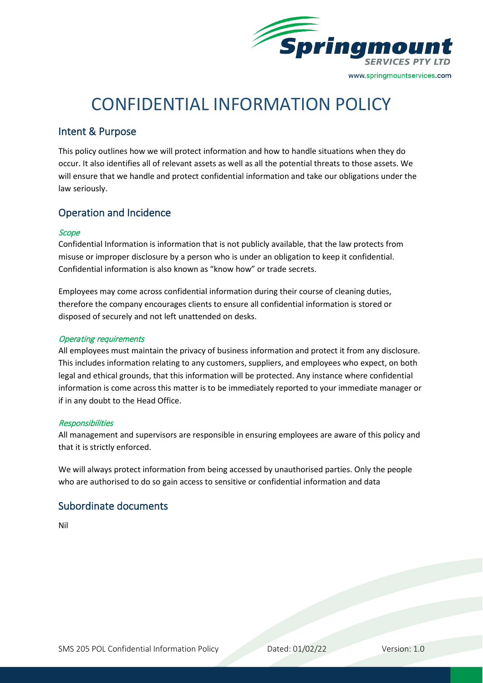

# CONFIDENTIAL INFORMATION POLICY

# Intent & Purpose

This policy outlines how we will protect information and how to handle situations when they do occur. It also identifies all of relevant assets as well as all the potential threats to those assets. We will ensure that we handle and protect confidential information and take our obligations under the law seriously.

## Operation and Incidence

## **Scope**

Confidential Information is information that is not publicly available, that the law protects from misuse or improper disclosure by a person who is under an obligation to keep it confidential. Confidential information is also known as "know how" or trade secrets.

Employees may come across confidential information during their course of cleaning duties, therefore the company encourages clients to ensure all confidential information is stored or disposed of securely and not left unattended on desks.

#### Operating requirements

All employees must maintain the privacy of business information and protect it from any disclosure. This includes information relating to any customers, suppliers, and employees who expect, on both legal and ethical grounds, that this information will be protected. Any instance where confidential information is come across this matter is to be immediately reported to your immediate manager or if in any doubt to the Head Office.

#### **Responsibilities**

All management and supervisors are responsible in ensuring employees are aware of this policy and that it is strictly enforced.

We will always protect information from being accessed by unauthorised parties. Only the people who are authorised to do so gain access to sensitive or confidential information and data

## Subordinate documents

Nil